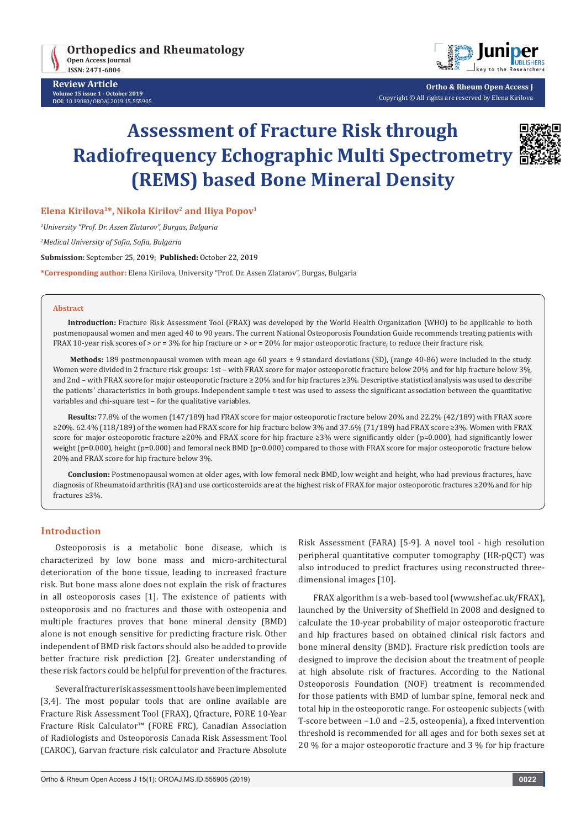

**Review Article Volume 15 issue 1 - October 2019 DOI**: [10.19080/OROAJ.2019.15.555905](http://dx.doi.org/10.19080/OROAJ.2019.15.555905)



**Ortho & Rheum Open Access J** Copyright © All rights are reserved by Elena Kirilova

# **Assessment of Fracture Risk through Radiofrequency Echographic Multi Spectrometry (REMS) based Bone Mineral Density**



**Elena Kirilova1\*, Nikola Kirilov2 and Iliya Popov1**

*1 University "Prof. Dr. Assen Zlatarov", Burgas, Bulgaria*

*2 Medical University of Sofia, Sofia, Bulgaria*

**Submission:** September 25, 2019; **Published:** October 22, 2019

**\*Corresponding author:** Elena Kirilova, University "Prof. Dr. Assen Zlatarov", Burgas, Bulgaria

#### **Abstract**

**Introduction:** Fracture Risk Assessment Tool (FRAX) was developed by the World Health Organization (WHO) to be applicable to both postmenopausal women and men aged 40 to 90 years. The current National Osteoporosis Foundation Guide recommends treating patients with FRAX 10-year risk scores of > or = 3% for hip fracture or > or = 20% for major osteoporotic fracture, to reduce their fracture risk.

**Methods:** 189 postmenopausal women with mean age 60 years ± 9 standard deviations (SD), (range 40-86) were included in the study. Women were divided in 2 fracture risk groups: 1st – with FRAX score for major osteoporotic fracture below 20% and for hip fracture below 3%, and 2nd – with FRAX score for major osteoporotic fracture ≥ 20% and for hip fractures ≥3%. Descriptive statistical analysis was used to describe the patients' characteristics in both groups. Independent sample t-test was used to assess the significant association between the quantitative variables and chi-square test – for the qualitative variables.

**Results:** 77.8% of the women (147/189) had FRAX score for major osteoporotic fracture below 20% and 22.2% (42/189) with FRAX score ≥20%. 62.4% (118/189) of the women had FRAX score for hip fracture below 3% and 37.6% (71/189) had FRAX score ≥3%. Women with FRAX score for major osteoporotic fracture ≥20% and FRAX score for hip fracture ≥3% were significantly older (p=0.000), had significantly lower weight (p=0.000), height (p=0.000) and femoral neck BMD (p=0.000) compared to those with FRAX score for major osteoporotic fracture below 20% and FRAX score for hip fracture below 3%.

**Conclusion:** Postmenopausal women at older ages, with low femoral neck BMD, low weight and height, who had previous fractures, have diagnosis of Rheumatoid arthritis (RA) and use corticosteroids are at the highest risk of FRAX for major osteoporotic fractures ≥20% and for hip fractures ≥3%.

### **Introduction**

Osteoporosis is a metabolic bone disease, which is characterized by low bone mass and micro-architectural deterioration of the bone tissue, leading to increased fracture risk. But bone mass alone does not explain the risk of fractures in all osteoporosis cases [1]. The existence of patients with osteoporosis and no fractures and those with osteopenia and multiple fractures proves that bone mineral density (BMD) alone is not enough sensitive for predicting fracture risk. Other independent of BMD risk factors should also be added to provide better fracture risk prediction [2]. Greater understanding of these risk factors could be helpful for prevention of the fractures.

Several fracture risk assessment tools have been implemented [3,4]. The most popular tools that are online available are Fracture Risk Assessment Tool (FRAX), Qfracture, FORE 10-Year Fracture Risk Calculator™ (FORE FRC), Canadian Association of Radiologists and Osteoporosis Canada Risk Assessment Tool (CAROC), Garvan fracture risk calculator and Fracture Absolute Risk Assessment (FARA) [5-9]. A novel tool - high resolution peripheral quantitative computer tomography (HR-pQCT) was also introduced to predict fractures using reconstructed threedimensional images [10].

FRAX algorithm is a web-based tool (www.shef.ac.uk/FRAX), launched by the University of Sheffield in 2008 and designed to calculate the 10-year probability of major osteoporotic fracture and hip fractures based on obtained clinical risk factors and bone mineral density (BMD). Fracture risk prediction tools are designed to improve the decision about the treatment of people at high absolute risk of fractures. According to the National Osteoporosis Foundation (NOF) treatment is recommended for those patients with BMD of lumbar spine, femoral neck and total hip in the osteoporotic range. For osteopenic subjects (with T-score between −1.0 and −2.5, osteopenia), a fixed intervention threshold is recommended for all ages and for both sexes set at 20 % for a major osteoporotic fracture and 3 % for hip fracture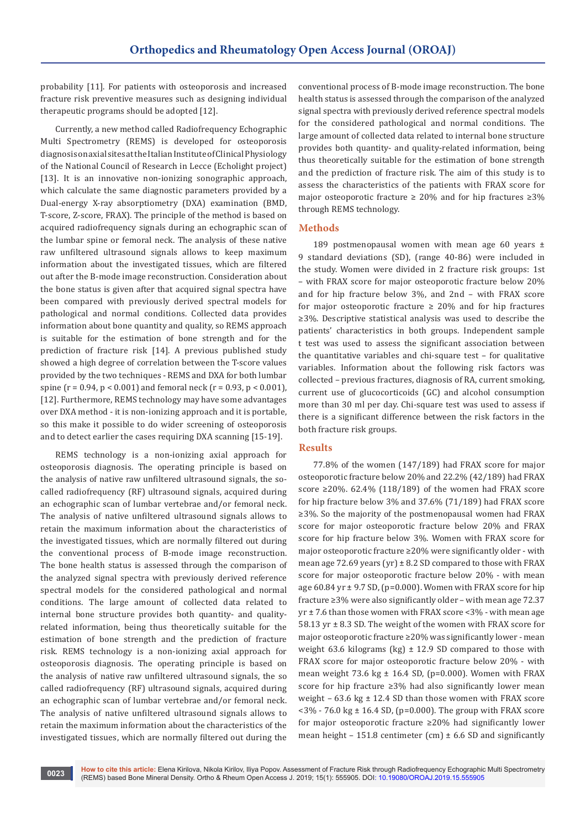probability [11]. For patients with osteoporosis and increased fracture risk preventive measures such as designing individual therapeutic programs should be adopted [12].

Currently, a new method called Radiofrequency Echographic Multi Spectrometry (REMS) is developed for osteoporosis diagnosis on axial sites at the Italian Institute of Clinical Physiology of the National Council of Research in Lecce (Echolight project) [13]. It is an innovative non-ionizing sonographic approach, which calculate the same diagnostic parameters provided by a Dual-energy X-ray absorptiometry (DXA) examination (BMD, T-score, Z-score, FRAX). The principle of the method is based on acquired radiofrequency signals during an echographic scan of the lumbar spine or femoral neck. The analysis of these native raw unfiltered ultrasound signals allows to keep maximum information about the investigated tissues, which are filtered out after the B-mode image reconstruction. Consideration about the bone status is given after that acquired signal spectra have been compared with previously derived spectral models for pathological and normal conditions. Collected data provides information about bone quantity and quality, so REMS approach is suitable for the estimation of bone strength and for the prediction of fracture risk [14]. A previous published study showed a high degree of correlation between the T-score values provided by the two techniques - REMS and DXA for both lumbar spine ( $r = 0.94$ ,  $p < 0.001$ ) and femoral neck ( $r = 0.93$ ,  $p < 0.001$ ), [12]. Furthermore, REMS technology may have some advantages over DXA method - it is non-ionizing approach and it is portable, so this make it possible to do wider screening of osteoporosis and to detect earlier the cases requiring DXA scanning [15-19].

REMS technology is a non-ionizing axial approach for osteoporosis diagnosis. The operating principle is based on the analysis of native raw unfiltered ultrasound signals, the socalled radiofrequency (RF) ultrasound signals, acquired during an echographic scan of lumbar vertebrae and/or femoral neck. The analysis of native unfiltered ultrasound signals allows to retain the maximum information about the characteristics of the investigated tissues, which are normally filtered out during the conventional process of B-mode image reconstruction. The bone health status is assessed through the comparison of the analyzed signal spectra with previously derived reference spectral models for the considered pathological and normal conditions. The large amount of collected data related to internal bone structure provides both quantity- and qualityrelated information, being thus theoretically suitable for the estimation of bone strength and the prediction of fracture risk. REMS technology is a non-ionizing axial approach for osteoporosis diagnosis. The operating principle is based on the analysis of native raw unfiltered ultrasound signals, the so called radiofrequency (RF) ultrasound signals, acquired during an echographic scan of lumbar vertebrae and/or femoral neck. The analysis of native unfiltered ultrasound signals allows to retain the maximum information about the characteristics of the investigated tissues, which are normally filtered out during the

conventional process of B-mode image reconstruction. The bone health status is assessed through the comparison of the analyzed signal spectra with previously derived reference spectral models for the considered pathological and normal conditions. The large amount of collected data related to internal bone structure provides both quantity- and quality-related information, being thus theoretically suitable for the estimation of bone strength and the prediction of fracture risk. The aim of this study is to assess the characteristics of the patients with FRAX score for major osteoporotic fracture ≥ 20% and for hip fractures ≥3% through REMS technology.

#### **Methods**

189 postmenopausal women with mean age 60 years  $\pm$ 9 standard deviations (SD), (range 40-86) were included in the study. Women were divided in 2 fracture risk groups: 1st – with FRAX score for major osteoporotic fracture below 20% and for hip fracture below 3%, and 2nd – with FRAX score for major osteoporotic fracture  $\geq$  20% and for hip fractures ≥3%. Descriptive statistical analysis was used to describe the patients' characteristics in both groups. Independent sample t test was used to assess the significant association between the quantitative variables and chi-square test – for qualitative variables. Information about the following risk factors was collected – previous fractures, diagnosis of RA, current smoking, current use of glucocorticoids (GC) and alcohol consumption more than 30 ml per day. Chi-square test was used to assess if there is a significant difference between the risk factors in the both fracture risk groups.

#### **Results**

77.8% of the women (147/189) had FRAX score for major osteoporotic fracture below 20% and 22.2% (42/189) had FRAX score ≥20%. 62.4% (118/189) of the women had FRAX score for hip fracture below 3% and 37.6% (71/189) had FRAX score ≥3%. So the majority of the postmenopausal women had FRAX score for major osteoporotic fracture below 20% and FRAX score for hip fracture below 3%. Women with FRAX score for major osteoporotic fracture ≥20% were significantly older - with mean age 72.69 years (yr)  $\pm$  8.2 SD compared to those with FRAX score for major osteoporotic fracture below 20% - with mean age  $60.84$  yr  $\pm$  9.7 SD, (p=0.000). Women with FRAX score for hip fracture ≥3% were also significantly older – with mean age 72.37  $yr \pm 7.6$  than those women with FRAX score <3% - with mean age 58.13 yr ± 8.3 SD. The weight of the women with FRAX score for major osteoporotic fracture ≥20% was significantly lower - mean weight 63.6 kilograms (kg)  $\pm$  12.9 SD compared to those with FRAX score for major osteoporotic fracture below 20% - with mean weight 73.6 kg  $\pm$  16.4 SD, (p=0.000). Women with FRAX score for hip fracture ≥3% had also significantly lower mean weight –  $63.6 \text{ kg} \pm 12.4 \text{ SD}$  than those women with FRAX score  $<$ 3% - 76.0 kg  $\pm$  16.4 SD, (p=0.000). The group with FRAX score for major osteoporotic fracture ≥20% had significantly lower mean height – 151.8 centimeter (cm)  $\pm$  6.6 SD and significantly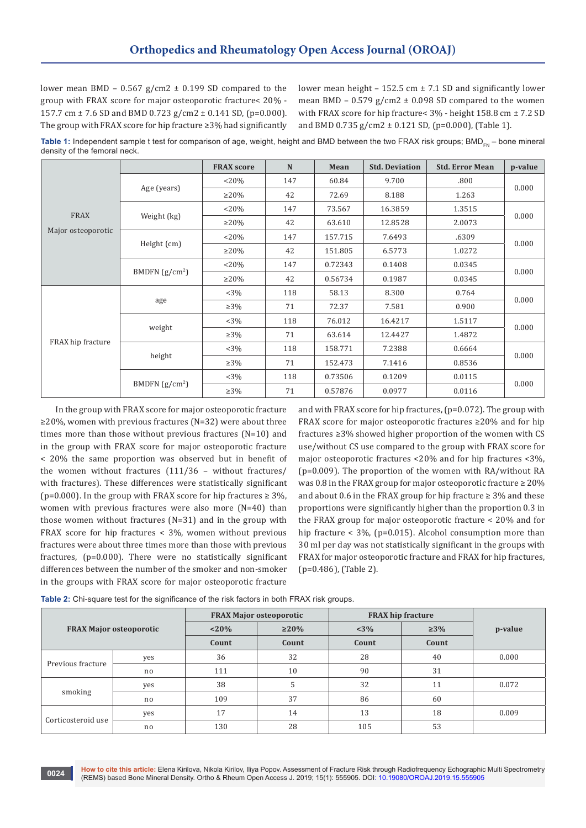lower mean BMD –  $0.567$  g/cm2  $\pm$  0.199 SD compared to the group with FRAX score for major osteoporotic fracture< 20% - 157.7 cm ± 7.6 SD and BMD 0.723 g/cm2 ± 0.141 SD, (p=0.000). The group with FRAX score for hip fracture ≥3% had significantly lower mean height  $-152.5$  cm  $\pm 7.1$  SD and significantly lower mean BMD -  $0.579$  g/cm2  $\pm$  0.098 SD compared to the women with FRAX score for hip fracture< 3% - height 158.8 cm ± 7.2 SD and BMD 0.735 g/cm2 ± 0.121 SD, (p=0.000), (Table 1).

Table 1: Independent sample t test for comparison of age, weight, height and BMD between the two FRAX risk groups; BMD<sub>FN</sub> – bone mineral density of the femoral neck.

|                            |                  | <b>FRAX score</b> | $\mathbf N$ | Mean    | <b>Std. Deviation</b> | <b>Std. Error Mean</b> | p-value |  |
|----------------------------|------------------|-------------------|-------------|---------|-----------------------|------------------------|---------|--|
| FRAX<br>Major osteoporotic | Age (years)      | $< 20\%$          | 147         | 60.84   | 9.700                 | .800                   | 0.000   |  |
|                            |                  | $>20\%$           | 42          | 72.69   | 8.188                 | 1.263                  |         |  |
|                            | Weight (kg)      | $< 20\%$          | 147         | 73.567  | 16.3859               | 1.3515                 | 0.000   |  |
|                            |                  | $\geq 20\%$       | 42          | 63.610  | 12.8528               | 2.0073                 |         |  |
|                            | Height (cm)      | $< 20\%$          | 147         | 157.715 | 7.6493                | .6309                  |         |  |
|                            |                  | $\geq 20\%$       | 42          | 151.805 | 6.5773                | 1.0272                 | 0.000   |  |
|                            | BMDFN $(g/cm^2)$ | $< 20\%$          | 147         | 0.72343 | 0.1408                | 0.0345                 |         |  |
|                            |                  | $\geq$ 20%        | 42          | 0.56734 | 0.1987                | 0.0345                 | 0.000   |  |
| FRAX hip fracture          | age              | $<3\%$            | 118         | 58.13   | 8.300                 | 0.764                  | 0.000   |  |
|                            |                  | $\geq$ 3%         | 71          | 72.37   | 7.581                 | 0.900                  |         |  |
|                            | weight           | $<3\%$            | 118         | 76.012  | 16.4217               | 1.5117                 |         |  |
|                            |                  | $\geq$ 3%         | 71          | 63.614  | 12.4427               | 1.4872                 | 0.000   |  |
|                            | height           | <3%               | 118         | 158.771 | 7.2388                | 0.6664                 | 0.000   |  |
|                            |                  | $\geq$ 3%         | 71          | 152.473 | 7.1416                | 0.8536                 |         |  |
|                            | BMDFN $(g/cm2)$  | $<3\%$            | 118         | 0.73506 | 0.1209                | 0.0115                 | 0.000   |  |
|                            |                  | $\geq$ 3%         | 71          | 0.57876 | 0.0977                | 0.0116                 |         |  |

In the group with FRAX score for major osteoporotic fracture ≥20%, women with previous fractures (N=32) were about three times more than those without previous fractures (N=10) and in the group with FRAX score for major osteoporotic fracture < 20% the same proportion was observed but in benefit of the women without fractures (111/36 – without fractures/ with fractures). These differences were statistically significant (p=0.000). In the group with FRAX score for hip fractures  $\geq 3\%$ , women with previous fractures were also more (N=40) than those women without fractures (N=31) and in the group with FRAX score for hip fractures < 3%, women without previous fractures were about three times more than those with previous fractures, (p=0.000). There were no statistically significant differences between the number of the smoker and non-smoker in the groups with FRAX score for major osteoporotic fracture

and with FRAX score for hip fractures, (p=0.072). The group with FRAX score for major osteoporotic fractures ≥20% and for hip fractures ≥3% showed higher proportion of the women with CS use/without CS use compared to the group with FRAX score for major osteoporotic fractures <20% and for hip fractures <3%, (p=0.009). The proportion of the women with RA/without RA was 0.8 in the FRAX group for major osteoporotic fracture  $\geq 20\%$ and about 0.6 in the FRAX group for hip fracture  $\geq$  3% and these proportions were significantly higher than the proportion 0.3 in the FRAX group for major osteoporotic fracture < 20% and for hip fracture < 3%, (p=0.015). Alcohol consumption more than 30 ml per day was not statistically significant in the groups with FRAX for major osteoporotic fracture and FRAX for hip fractures, (p=0.486), (Table 2).

|  |  | Table 2: Chi-square test for the significance of the risk factors in both FRAX risk groups. |  |  |  |
|--|--|---------------------------------------------------------------------------------------------|--|--|--|
|--|--|---------------------------------------------------------------------------------------------|--|--|--|

| <b>FRAX Major osteoporotic</b> |     | <b>FRAX Major osteoporotic</b> |             | <b>FRAX</b> hip fracture |           |         |
|--------------------------------|-----|--------------------------------|-------------|--------------------------|-----------|---------|
|                                |     | $< 20\%$                       | $\geq 20\%$ | $< 3\%$                  | $\geq$ 3% | p-value |
|                                |     | Count                          | Count       | Count                    | Count     |         |
| Previous fracture              | yes | 36                             | 32          | 28                       | 40        | 0.000   |
|                                | no  | 111                            | 10          | 90                       | 31        |         |
| smoking                        | yes | 38                             | C.          | 32                       | 11        | 0.072   |
|                                | no  | 109                            | 37          | 86                       | 60        |         |
| Corticosteroid use             | yes | 17                             | 14          | 13                       | 18        | 0.009   |
|                                | no. | 130                            | 28          | 105                      | 53        |         |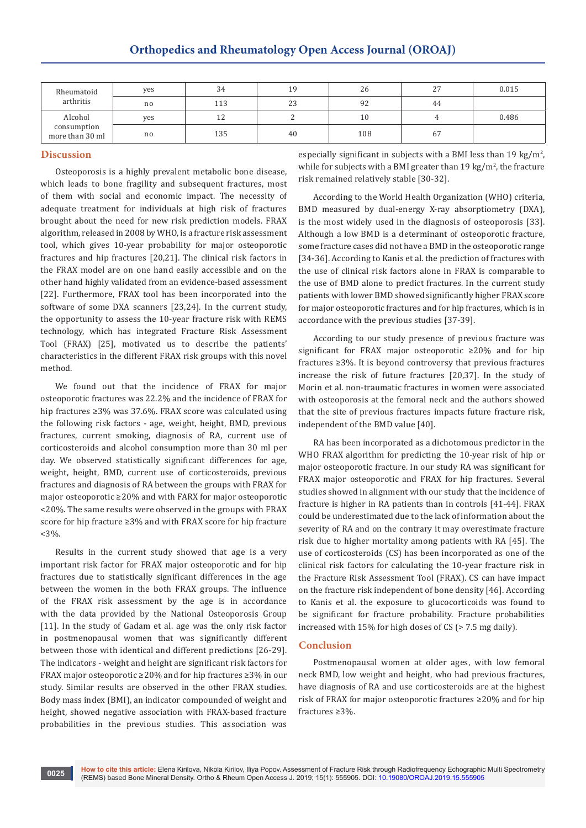| Rheumatoid<br>arthritis        | yes | 34                  | 19 | 26  | 27<br><u>.</u> | 0.015 |
|--------------------------------|-----|---------------------|----|-----|----------------|-------|
|                                | no  | 113                 | 23 | 92  | 44             |       |
| Alcohol                        | yes | 1 <sub>2</sub><br>ᆠ |    | 10  |                | 0.486 |
| consumption<br>more than 30 ml | no  | 135                 | 40 | 108 | 67             |       |

#### **Discussion**

Osteoporosis is a highly prevalent metabolic bone disease, which leads to bone fragility and subsequent fractures, most of them with social and economic impact. The necessity of adequate treatment for individuals at high risk of fractures brought about the need for new risk prediction models. FRAX algorithm, released in 2008 by WHO, is a fracture risk assessment tool, which gives 10-year probability for major osteoporotic fractures and hip fractures [20,21]. The clinical risk factors in the FRAX model are on one hand easily accessible and on the other hand highly validated from an evidence-based assessment [22]. Furthermore, FRAX tool has been incorporated into the software of some DXA scanners [23,24]. In the current study, the opportunity to assess the 10-year fracture risk with REMS technology, which has integrated Fracture Risk Assessment Tool (FRAX) [25], motivated us to describe the patients' characteristics in the different FRAX risk groups with this novel method.

We found out that the incidence of FRAX for major osteoporotic fractures was 22.2% and the incidence of FRAX for hip fractures ≥3% was 37.6%. FRAX score was calculated using the following risk factors - age, weight, height, BMD, previous fractures, current smoking, diagnosis of RA, current use of corticosteroids and alcohol consumption more than 30 ml per day. We observed statistically significant differences for age, weight, height, BMD, current use of corticosteroids, previous fractures and diagnosis of RA between the groups with FRAX for major osteoporotic ≥20% and with FARX for major osteoporotic <20%. The same results were observed in the groups with FRAX score for hip fracture ≥3% and with FRAX score for hip fracture  $<3\%$ .

Results in the current study showed that age is a very important risk factor for FRAX major osteoporotic and for hip fractures due to statistically significant differences in the age between the women in the both FRAX groups. The influence of the FRAX risk assessment by the age is in accordance with the data provided by the National Osteoporosis Group [11]. In the study of Gadam et al. age was the only risk factor in postmenopausal women that was significantly different between those with identical and different predictions [26-29]. The indicators - weight and height are significant risk factors for FRAX major osteoporotic ≥20% and for hip fractures ≥3% in our study. Similar results are observed in the other FRAX studies. Body mass index (BMI), an indicator compounded of weight and height, showed negative association with FRAX-based fracture probabilities in the previous studies. This association was

especially significant in subjects with a BMI less than 19 kg/m<sup>2</sup>, while for subjects with a BMI greater than  $19 \text{ kg/m}^2$ , the fracture risk remained relatively stable [30-32].

According to the World Health Organization (WHO) criteria, BMD measured by dual-energy X-ray absorptiometry (DXA), is the most widely used in the diagnosis of osteoporosis [33]. Although a low BMD is a determinant of osteoporotic fracture, some fracture cases did not have a BMD in the osteoporotic range [34-36]. According to Kanis et al. the prediction of fractures with the use of clinical risk factors alone in FRAX is comparable to the use of BMD alone to predict fractures. In the current study patients with lower BMD showed significantly higher FRAX score for major osteoporotic fractures and for hip fractures, which is in accordance with the previous studies [37-39].

According to our study presence of previous fracture was significant for FRAX major osteoporotic ≥20% and for hip fractures ≥3%. It is beyond controversy that previous fractures increase the risk of future fractures [20,37]. In the study of Morin et al. non-traumatic fractures in women were associated with osteoporosis at the femoral neck and the authors showed that the site of previous fractures impacts future fracture risk, independent of the BMD value [40].

RA has been incorporated as a dichotomous predictor in the WHO FRAX algorithm for predicting the 10-year risk of hip or major osteoporotic fracture. In our study RA was significant for FRAX major osteoporotic and FRAX for hip fractures. Several studies showed in alignment with our study that the incidence of fracture is higher in RA patients than in controls [41-44]. FRAX could be underestimated due to the lack of information about the severity of RA and on the contrary it may overestimate fracture risk due to higher mortality among patients with RA [45]. The use of corticosteroids (CS) has been incorporated as one of the clinical risk factors for calculating the 10-year fracture risk in the Fracture Risk Assessment Tool (FRAX). CS can have impact on the fracture risk independent of bone density [46]. According to Kanis et al. the exposure to glucocorticoids was found to be significant for fracture probability. Fracture probabilities increased with 15% for high doses of CS (> 7.5 mg daily).

## **Conclusion**

Postmenopausal women at older ages, with low femoral neck BMD, low weight and height, who had previous fractures, have diagnosis of RA and use corticosteroids are at the highest risk of FRAX for major osteoporotic fractures ≥20% and for hip fractures ≥3%.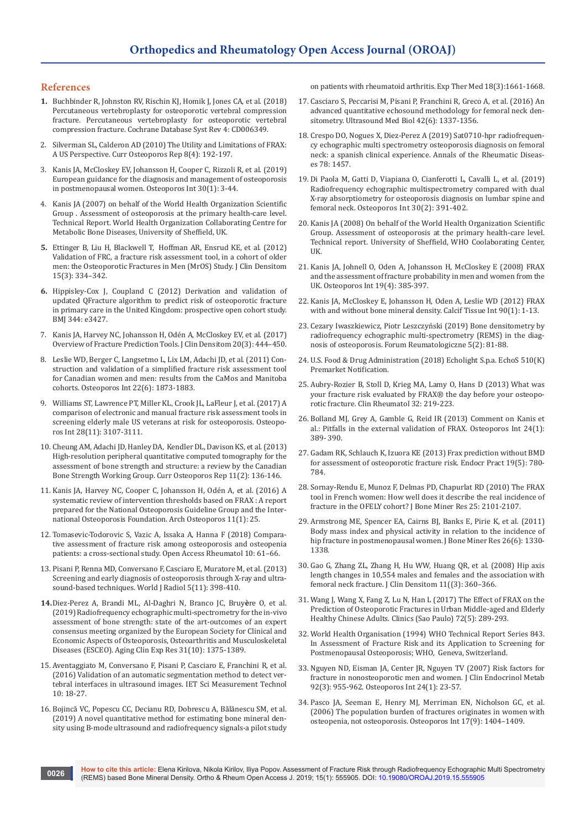#### **References**

- **1.** [Buchbinder R,](https://www.ncbi.nlm.nih.gov/pubmed/29618171) Johnston RV, Rischin KJ, Homik J, Jones CA, et al. (2018) [Percutaneous vertebroplasty for osteoporotic vertebral compression](https://www.ncbi.nlm.nih.gov/pubmed/29618171)  [fracture. Percutaneous vertebroplasty for osteoporotic vertebral](https://www.ncbi.nlm.nih.gov/pubmed/29618171)  [compression fracture. Cochrane Database Syst Rev 4: CD006349.](https://www.ncbi.nlm.nih.gov/pubmed/29618171)
- 2. [Silverman SL, Calderon AD \(2010\) The Utility and Limitations of FRAX:](https://www.ncbi.nlm.nih.gov/pubmed/20811963)  A US Perspective. [Curr Osteoporos Rep 8\(4\): 192-197.](https://www.ncbi.nlm.nih.gov/pubmed/20811963)
- 3. [Kanis JA, McCloskey EV, Johansson H, Cooper C, Rizzoli R, et al. \(2019\)](https://www.ncbi.nlm.nih.gov/pubmed/30324412)  [European guidance for the diagnosis and management of osteoporosis](https://www.ncbi.nlm.nih.gov/pubmed/30324412)  [in postmenopausal women. Osteoporos Int 30\(1\): 3-44.](https://www.ncbi.nlm.nih.gov/pubmed/30324412)
- 4. Kanis JA (2007) on behalf of the World Health Organization Scientific Group . Assessment of osteoporosis at the primary health-care level. Technical Report. World Health Organization Collaborating Centre for Metabolic Bone Diseases, University of Sheffield, UK.
- **5.** [Ettinger B, Liu H, Blackwell T, Hoffman AR,](https://www.ncbi.nlm.nih.gov/pubmed/22445858) Ensrud KE, et al. (2012) [Validation of FRC, a fracture risk assessment tool, in a cohort of older](https://www.ncbi.nlm.nih.gov/pubmed/22445858)  [men: the Osteoporotic Fractures in Men \(MrOS\) Study.](https://www.ncbi.nlm.nih.gov/pubmed/22445858) J Clin Densitom [15\(3\): 334–342.](https://www.ncbi.nlm.nih.gov/pubmed/22445858)
- **6.** Hippisley-Cox J, [Coupland C \(2012\) Derivation and validation of](https://www.ncbi.nlm.nih.gov/pubmed/22619194)  [updated QFracture algorithm to predict risk of osteoporotic fracture](https://www.ncbi.nlm.nih.gov/pubmed/22619194)  [in primary care in the United Kingdom: prospective open cohort study.](https://www.ncbi.nlm.nih.gov/pubmed/22619194)  [BMJ 344: e3427.](https://www.ncbi.nlm.nih.gov/pubmed/22619194)
- 7. [Kanis JA, Harvey NC, Johansson H, Odén A, McCloskey EV, et al. \(2017\)](https://www.ncbi.nlm.nih.gov/pubmed/28716500)  [Overview of Fracture Prediction Tools.](https://www.ncbi.nlm.nih.gov/pubmed/28716500) J Clin Densitom 20(3): 444–450.
- 8. [Leslie WD, Berger C, Langsetmo L, Lix LM,](https://www.ncbi.nlm.nih.gov/pubmed/20967422) Adachi JD, et al. (2011) Con[struction and validation of a simplified fracture risk assessment tool](https://www.ncbi.nlm.nih.gov/pubmed/20967422)  [for Canadian women and men: results from the CaMos and Manitoba](https://www.ncbi.nlm.nih.gov/pubmed/20967422)  cohorts. [Osteoporos Int 22\(6\): 1873-1883.](https://www.ncbi.nlm.nih.gov/pubmed/20967422)
- 9. [Williams ST, Lawrence PT, Miller KL, Crook JL, LaFleur J, et al. \(2017\) A](https://www.ncbi.nlm.nih.gov/pubmed/28756457)  [comparison of electronic and manual fracture risk assessment tools in](https://www.ncbi.nlm.nih.gov/pubmed/28756457)  [screening elderly male US veterans at risk for osteoporosis. Osteopo](https://www.ncbi.nlm.nih.gov/pubmed/28756457)[ros Int 28\(11\): 3107-3111.](https://www.ncbi.nlm.nih.gov/pubmed/28756457)
- 10. [Cheung AM, Adachi JD, Hanley DA, Kendler DL,Davison KS, et al. \(2013\)](https://www.ncbi.nlm.nih.gov/pubmed/23525967)  [High-resolution peripheral quantitative computed tomography for the](https://www.ncbi.nlm.nih.gov/pubmed/23525967)  [assessment of bone strength and structure: a review by the Canadian](https://www.ncbi.nlm.nih.gov/pubmed/23525967)  Bone Strength Working Group. [Curr Osteoporos Rep 11\(2\): 136-146.](https://www.ncbi.nlm.nih.gov/pubmed/23525967)
- 11. [Kanis JA, Harvey NC, Cooper C, Johansson H,](https://www.ncbi.nlm.nih.gov/pubmed/27465509) Odén A, et al. (2016) A [systematic review of intervention thresholds based on FRAX : A report](https://www.ncbi.nlm.nih.gov/pubmed/27465509)  [prepared for the National Osteoporosis Guideline Group and the Inter](https://www.ncbi.nlm.nih.gov/pubmed/27465509)[national Osteoporosis Foundation.](https://www.ncbi.nlm.nih.gov/pubmed/27465509) Arch Osteoporos 11(1): 25.
- 12. [Tomasevic-Todorovic S, Vazic A, Issaka A, Hanna F \(2018\) Compara](https://www.ncbi.nlm.nih.gov/pmc/articles/PMC5985792/)[tive assessment of fracture risk among osteoporosis and osteopenia](https://www.ncbi.nlm.nih.gov/pmc/articles/PMC5985792/)  patients: a cross-sectional study. [Open Access Rheumatol 10: 61–66.](https://www.ncbi.nlm.nih.gov/pmc/articles/PMC5985792/)
- 13. [Pisani P, Renna MD, Conversano F, Casciaro E, Muratore M, et al. \(2013\)](https://www.ncbi.nlm.nih.gov/pubmed/24349644)  [Screening and early diagnosis of osteoporosis through X-ray and ultra](https://www.ncbi.nlm.nih.gov/pubmed/24349644)[sound-based techniques. World J Radiol 5\(11\): 398-410.](https://www.ncbi.nlm.nih.gov/pubmed/24349644)
- **14.**[Diez-Perez A,](https://www.ncbi.nlm.nih.gov/pubmed/31422565) Brandi ML, Al-Daghri N, Branco JC, Bruy**è**re O, et al. [\(2019\) Radiofrequency echographic multi-spectrometry for the in-vivo](https://www.ncbi.nlm.nih.gov/pubmed/31422565)  [assessment of bone strength: state of the art-outcomes of an expert](https://www.ncbi.nlm.nih.gov/pubmed/31422565)  [consensus meeting organized by the European Society for Clinical and](https://www.ncbi.nlm.nih.gov/pubmed/31422565)  [Economic Aspects of Osteoporosis, Osteoarthritis and Musculoskeletal](https://www.ncbi.nlm.nih.gov/pubmed/31422565)  [Diseases \(ESCEO\). Aging Clin Exp Res 31\(10\): 1375-1389.](https://www.ncbi.nlm.nih.gov/pubmed/31422565)
- 15. Aventaggiato M, Conversano F, Pisani P, Casciaro E, Franchini R, et al. (2016) Validation of an automatic segmentation method to detect vertebral interfaces in ultrasound images. IET Sci Measurement Technol 10: 18-27.
- 16. [Bojincă VC, Popescu CC, Decianu RD, Dobrescu A,](https://www.ncbi.nlm.nih.gov/pubmed/31410123) Bălănescu SM, et al. [\(2019\) A novel quantitative method for estimating bone mineral den](https://www.ncbi.nlm.nih.gov/pubmed/31410123)[sity using B-mode ultrasound and radiofrequency signals-a pilot study](https://www.ncbi.nlm.nih.gov/pubmed/31410123)

[on patients with rheumatoid arthritis.](https://www.ncbi.nlm.nih.gov/pubmed/31410123) Exp Ther Med 18(3):1661-1668.

- 17. [Casciaro S, Peccarisi M, Pisani P, Franchini R, Greco A, et al. \(2016\) An](https://www.ncbi.nlm.nih.gov/pubmed/27033331)  [advanced quantitative echosound methodology for femoral neck den](https://www.ncbi.nlm.nih.gov/pubmed/27033331)[sitometry. Ultrasound Med Biol 42\(6\): 1337-1356.](https://www.ncbi.nlm.nih.gov/pubmed/27033331)
- 18. Crespo DO, Nogues X, Diez-Perez [A \(2019\) Sat0710-hpr radiofrequen](https://ard.bmj.com/content/78/Suppl_2/1457.1.responses)[cy echographic multi spectrometry osteoporosis diagnosis on femoral](https://ard.bmj.com/content/78/Suppl_2/1457.1.responses)  [neck: a spanish clinical experience. Annals of the Rheumatic Diseas](https://ard.bmj.com/content/78/Suppl_2/1457.1.responses)es [78: 1457.](https://ard.bmj.com/content/78/Suppl_2/1457.1.responses)
- 19. Di Paola M, Gatti D, Viapiana O, [Cianferotti L,](https://www.ncbi.nlm.nih.gov/pubmed/30178159) Cavalli L, et al. (2019) [Radiofrequency echographic multispectrometry compared with dual](https://www.ncbi.nlm.nih.gov/pubmed/30178159)  [X-ray absorptiometry for osteoporosis diagnosis on lumbar spine and](https://www.ncbi.nlm.nih.gov/pubmed/30178159)  [femoral neck. Osteoporos Int 30\(2\): 391-402.](https://www.ncbi.nlm.nih.gov/pubmed/30178159)
- 20. Kanis JA (2008) On behalf of the World Health Organization Scientific Group. Assessment of osteoporosis at the primary health-care level. Technical report. University of Sheffield, WHO Coolaborating Center, UK.
- 21. [Kanis JA, Johnell O, Oden A, Johansson H, McCloskey E \(2008\) FRAX](https://www.ncbi.nlm.nih.gov/pubmed/18292978)  [and the assessment of fracture probability in men and women from the](https://www.ncbi.nlm.nih.gov/pubmed/18292978)  UK. Osteoporos Int [19\(4\): 385-397.](https://www.ncbi.nlm.nih.gov/pubmed/18292978)
- 22. [Kanis JA, McCloskey E, Johansson H, Oden A, Leslie WD \(2012\) FRAX](https://www.ncbi.nlm.nih.gov/pubmed/22057815)  [with and without bone mineral density.](https://www.ncbi.nlm.nih.gov/pubmed/22057815) Calcif Tissue Int 90(1): 1-13.
- 23. Cezary Iwaszkiewicz, Piotr Leszczyński (2019) Bone densitometry by radiofrequency echographic multi-spectrometry (REMS) in the diagnosis of osteoporosis. Forum Reumatologiczne 5(2): 81-88.
- 24. [U.S. Food & Drug Administration \(2018\) Echolight S.p.a. EchoS 510\(K\)](https://www.accessdata.fda.gov/cdrh_docs/pdf18/K180516.pdf)  [Premarket Notification.](https://www.accessdata.fda.gov/cdrh_docs/pdf18/K180516.pdf)
- 25. [Aubry-Rozier B, Stoll D, Krieg MA, Lamy O, Hans D \(2013\) What was](https://www.ncbi.nlm.nih.gov/pubmed/23114631)  [your fracture risk evaluated by FRAX® the day before your osteopo](https://www.ncbi.nlm.nih.gov/pubmed/23114631)[rotic fracture. Clin Rheumatol 32: 219-223.](https://www.ncbi.nlm.nih.gov/pubmed/23114631)
- 26. [Bolland MJ, Grey A, Gamble G, Reid IR \(2013\) Comment on Kanis et](https://www.ncbi.nlm.nih.gov/pubmed/22584994)  [al.: Pitfalls in the external validation of FRAX. Osteoporos Int 24\(1\):](https://www.ncbi.nlm.nih.gov/pubmed/22584994)  [389- 390.](https://www.ncbi.nlm.nih.gov/pubmed/22584994)
- 27. [Gadam RK, Schlauch K, Izuora KE \(2013\) Frax prediction without BMD](https://www.ncbi.nlm.nih.gov/pubmed/24121261)  [for assessment of osteoporotic fracture risk.](https://www.ncbi.nlm.nih.gov/pubmed/24121261) Endocr Pract 19(5): 780- [784.](https://www.ncbi.nlm.nih.gov/pubmed/24121261)
- 28. [Sornay-Rendu E, Munoz F, Delmas PD, Chapurlat RD \(2010\) The FRAX](https://www.ncbi.nlm.nih.gov/pubmed/20499352)  [tool in French women: How well does it describe the real incidence of](https://www.ncbi.nlm.nih.gov/pubmed/20499352)  fracture in the OFELY cohort? I Bone Miner Res 25: 2101-2107.
- 29. [Armstrong ME, Spencer EA, Cairns BJ, Banks E, Pirie K, et al. \(2011\)](https://www.ncbi.nlm.nih.gov/pubmed/21611971)  [Body mass index and physical activity in relation to the incidence of](https://www.ncbi.nlm.nih.gov/pubmed/21611971)  [hip fracture in postmenopausal women.](https://www.ncbi.nlm.nih.gov/pubmed/21611971) J Bone Miner Res 26(6): 1330- [1338.](https://www.ncbi.nlm.nih.gov/pubmed/21611971)
- 30. [Gao G, Zhang ZL, Zhang H, Hu WW, Huang QR, et al. \(2008\) Hip axis](https://www.ncbi.nlm.nih.gov/pubmed/18534883)  [length changes in 10,554 males and females and the association with](https://www.ncbi.nlm.nih.gov/pubmed/18534883)  femoral neck fracture. [J Clin Densitom 11\(\(3\): 360–366.](https://www.ncbi.nlm.nih.gov/pubmed/18534883)
- 31. [Wang J, Wang X, Fang Z, Lu N, Han L \(2017\) The Effect of FRAX on the](https://www.ncbi.nlm.nih.gov/pubmed/28591341)  [Prediction of Osteoporotic Fractures in Urban Middle-aged and Elderly](https://www.ncbi.nlm.nih.gov/pubmed/28591341)  Healthy Chinese Adults. [Clinics \(Sao Paulo\) 72\(5\): 289-293.](https://www.ncbi.nlm.nih.gov/pubmed/28591341)
- 32. World Health Organisation (1994) WHO Technical Report Series 843. In Assessment of Fracture Risk and its Application to Screening for Postmenopausal Osteoporosis; WHO, Geneva, Switzerland.
- 33. [Nguyen ND, Eisman JA, Center JR, Nguyen TV \(2007\) Risk factors for](https://www.ncbi.nlm.nih.gov/pubmed/17164302)  [fracture in nonosteoporotic men and women.](https://www.ncbi.nlm.nih.gov/pubmed/17164302) J Clin Endocrinol Metab [92\(3\): 955-962. Osteoporos Int 24\(1\): 23-57.](https://www.ncbi.nlm.nih.gov/pubmed/17164302)
- 34. [Pasco JA, Seeman E, Henry MJ, Merriman EN, Nicholson GC, et al.](https://www.ncbi.nlm.nih.gov/pubmed/16699736)  [\(2006\) The population burden of fractures originates in women with](https://www.ncbi.nlm.nih.gov/pubmed/16699736)  osteopenia, not osteoporosis. [Osteoporos Int 17\(9\): 1404–1409.](https://www.ncbi.nlm.nih.gov/pubmed/16699736)